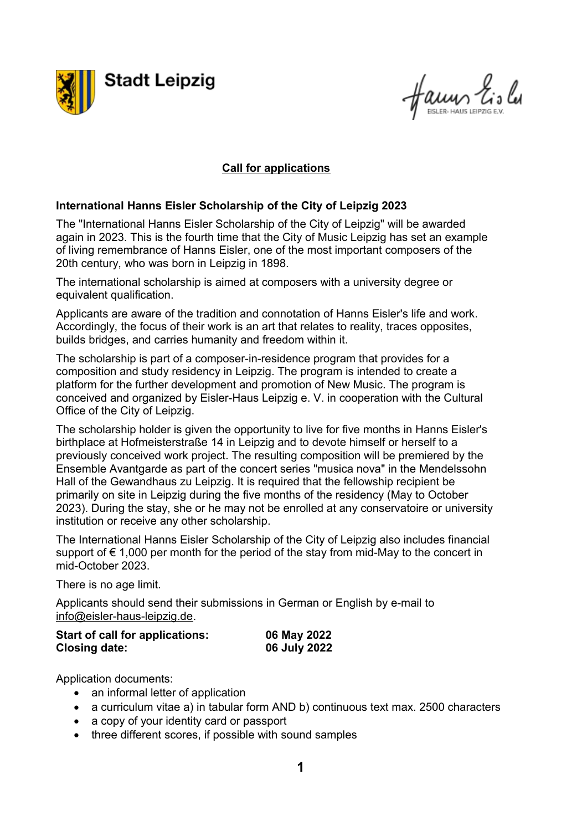

faum Lislu

## **Call for applications**

## **International Hanns Eisler Scholarship of the City of Leipzig 2023**

The "International Hanns Eisler Scholarship of the City of Leipzig" will be awarded again in 2023. This is the fourth time that the City of Music Leipzig has set an example of living remembrance of Hanns Eisler, one of the most important composers of the 20th century, who was born in Leipzig in 1898.

The international scholarship is aimed at composers with a university degree or equivalent qualification.

Applicants are aware of the tradition and connotation of Hanns Eisler's life and work. Accordingly, the focus of their work is an art that relates to reality, traces opposites, builds bridges, and carries humanity and freedom within it.

The scholarship is part of a composer-in-residence program that provides for a composition and study residency in Leipzig. The program is intended to create a platform for the further development and promotion of New Music. The program is conceived and organized by Eisler-Haus Leipzig e. V. in cooperation with the Cultural Office of the City of Leipzig.

The scholarship holder is given the opportunity to live for five months in Hanns Eisler's birthplace at Hofmeisterstraße 14 in Leipzig and to devote himself or herself to a previously conceived work project. The resulting composition will be premiered by the Ensemble Avantgarde as part of the concert series "musica nova" in the Mendelssohn Hall of the Gewandhaus zu Leipzig. It is required that the fellowship recipient be primarily on site in Leipzig during the five months of the residency (May to October 2023). During the stay, she or he may not be enrolled at any conservatoire or university institution or receive any other scholarship.

The International Hanns Eisler Scholarship of the City of Leipzig also includes financial support of  $\epsilon$  1,000 per month for the period of the stay from mid-May to the concert in mid-October 2023.

There is no age limit.

Applicants should send their submissions in German or English by e-mail to [info@eisler-haus-leipzig.de.](mailto:info@eisler-haus-leipzig.de)

| Start of call for applications: | 06 May 2022  |
|---------------------------------|--------------|
| <b>Closing date:</b>            | 06 July 2022 |

Application documents:

- an informal letter of application
- a curriculum vitae a) in tabular form AND b) continuous text max. 2500 characters
- a copy of your identity card or passport
- three different scores, if possible with sound samples